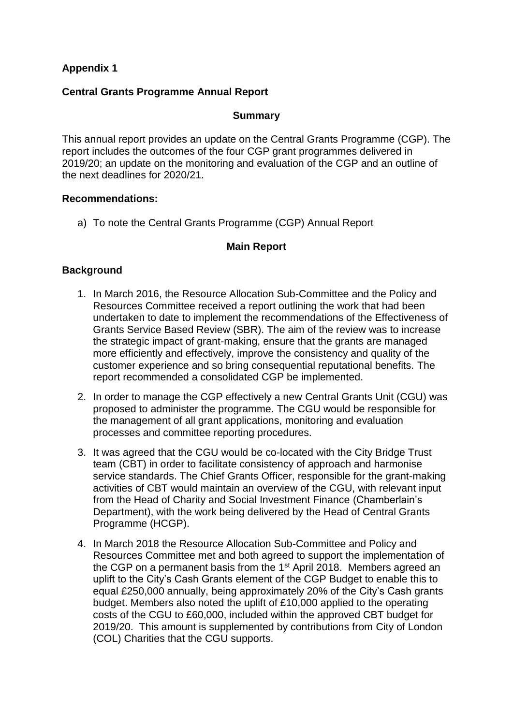# **Appendix 1**

#### **Central Grants Programme Annual Report**

#### **Summary**

This annual report provides an update on the Central Grants Programme (CGP). The report includes the outcomes of the four CGP grant programmes delivered in 2019/20; an update on the monitoring and evaluation of the CGP and an outline of the next deadlines for 2020/21.

#### **Recommendations:**

a) To note the Central Grants Programme (CGP) Annual Report

### **Main Report**

### **Background**

- 1. In March 2016, the Resource Allocation Sub-Committee and the Policy and Resources Committee received a report outlining the work that had been undertaken to date to implement the recommendations of the Effectiveness of Grants Service Based Review (SBR). The aim of the review was to increase the strategic impact of grant-making, ensure that the grants are managed more efficiently and effectively, improve the consistency and quality of the customer experience and so bring consequential reputational benefits. The report recommended a consolidated CGP be implemented.
- 2. In order to manage the CGP effectively a new Central Grants Unit (CGU) was proposed to administer the programme. The CGU would be responsible for the management of all grant applications, monitoring and evaluation processes and committee reporting procedures.
- 3. It was agreed that the CGU would be co-located with the City Bridge Trust team (CBT) in order to facilitate consistency of approach and harmonise service standards. The Chief Grants Officer, responsible for the grant-making activities of CBT would maintain an overview of the CGU, with relevant input from the Head of Charity and Social Investment Finance (Chamberlain's Department), with the work being delivered by the Head of Central Grants Programme (HCGP).
- 4. In March 2018 the Resource Allocation Sub-Committee and Policy and Resources Committee met and both agreed to support the implementation of the CGP on a permanent basis from the 1<sup>st</sup> April 2018. Members agreed an uplift to the City's Cash Grants element of the CGP Budget to enable this to equal £250,000 annually, being approximately 20% of the City's Cash grants budget. Members also noted the uplift of £10,000 applied to the operating costs of the CGU to £60,000, included within the approved CBT budget for 2019/20. This amount is supplemented by contributions from City of London (COL) Charities that the CGU supports.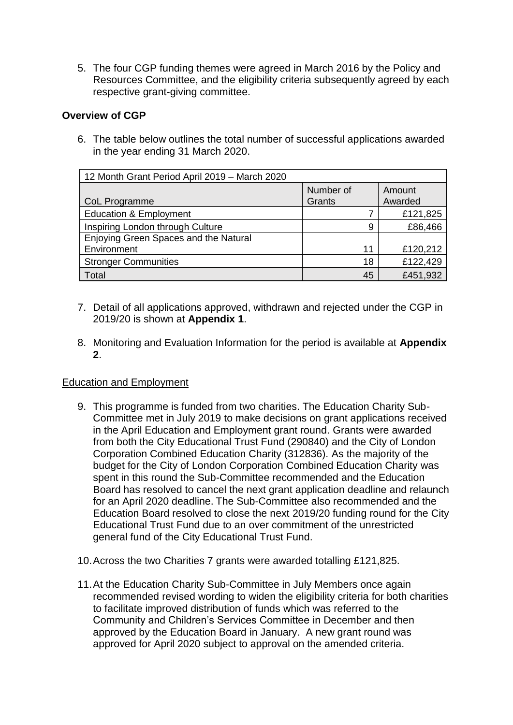5. The four CGP funding themes were agreed in March 2016 by the Policy and Resources Committee, and the eligibility criteria subsequently agreed by each respective grant-giving committee.

## **Overview of CGP**

6. The table below outlines the total number of successful applications awarded in the year ending 31 March 2020.

| 12 Month Grant Period April 2019 - March 2020 |           |          |
|-----------------------------------------------|-----------|----------|
|                                               | Number of | Amount   |
| CoL Programme                                 | Grants    | Awarded  |
| <b>Education &amp; Employment</b>             |           | £121,825 |
| Inspiring London through Culture              | 9         | £86,466  |
| Enjoying Green Spaces and the Natural         |           |          |
| Environment                                   | 11        | £120,212 |
| <b>Stronger Communities</b>                   | 18        | £122,429 |
| Total                                         | 45        | £451,932 |

- 7. Detail of all applications approved, withdrawn and rejected under the CGP in 2019/20 is shown at **Appendix 1**.
- 8. Monitoring and Evaluation Information for the period is available at **Appendix 2**.

#### Education and Employment

- 9. This programme is funded from two charities. The Education Charity Sub-Committee met in July 2019 to make decisions on grant applications received in the April Education and Employment grant round. Grants were awarded from both the City Educational Trust Fund (290840) and the City of London Corporation Combined Education Charity (312836). As the majority of the budget for the City of London Corporation Combined Education Charity was spent in this round the Sub-Committee recommended and the Education Board has resolved to cancel the next grant application deadline and relaunch for an April 2020 deadline. The Sub-Committee also recommended and the Education Board resolved to close the next 2019/20 funding round for the City Educational Trust Fund due to an over commitment of the unrestricted general fund of the City Educational Trust Fund.
- 10.Across the two Charities 7 grants were awarded totalling £121,825.
- 11.At the Education Charity Sub-Committee in July Members once again recommended revised wording to widen the eligibility criteria for both charities to facilitate improved distribution of funds which was referred to the Community and Children's Services Committee in December and then approved by the Education Board in January. A new grant round was approved for April 2020 subject to approval on the amended criteria.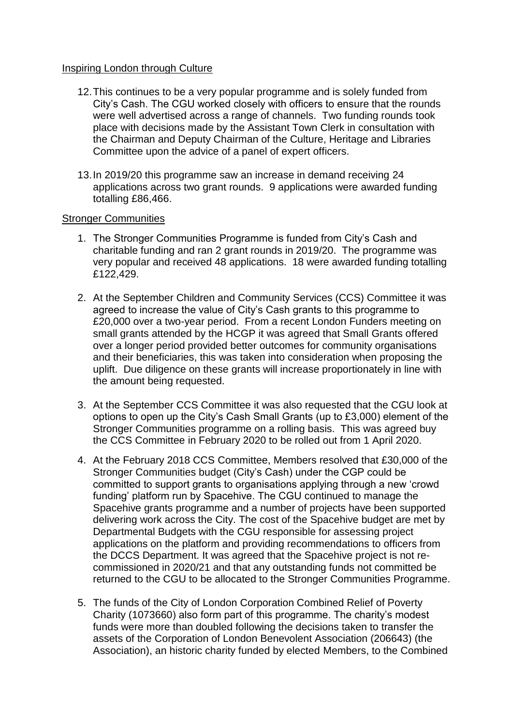#### Inspiring London through Culture

- 12.This continues to be a very popular programme and is solely funded from City's Cash. The CGU worked closely with officers to ensure that the rounds were well advertised across a range of channels. Two funding rounds took place with decisions made by the Assistant Town Clerk in consultation with the Chairman and Deputy Chairman of the Culture, Heritage and Libraries Committee upon the advice of a panel of expert officers.
- 13.In 2019/20 this programme saw an increase in demand receiving 24 applications across two grant rounds. 9 applications were awarded funding totalling £86,466.

#### Stronger Communities

- 1. The Stronger Communities Programme is funded from City's Cash and charitable funding and ran 2 grant rounds in 2019/20. The programme was very popular and received 48 applications. 18 were awarded funding totalling £122,429.
- 2. At the September Children and Community Services (CCS) Committee it was agreed to increase the value of City's Cash grants to this programme to £20,000 over a two-year period. From a recent London Funders meeting on small grants attended by the HCGP it was agreed that Small Grants offered over a longer period provided better outcomes for community organisations and their beneficiaries, this was taken into consideration when proposing the uplift. Due diligence on these grants will increase proportionately in line with the amount being requested.
- 3. At the September CCS Committee it was also requested that the CGU look at options to open up the City's Cash Small Grants (up to £3,000) element of the Stronger Communities programme on a rolling basis. This was agreed buy the CCS Committee in February 2020 to be rolled out from 1 April 2020.
- 4. At the February 2018 CCS Committee, Members resolved that £30,000 of the Stronger Communities budget (City's Cash) under the CGP could be committed to support grants to organisations applying through a new 'crowd funding' platform run by Spacehive. The CGU continued to manage the Spacehive grants programme and a number of projects have been supported delivering work across the City. The cost of the Spacehive budget are met by Departmental Budgets with the CGU responsible for assessing project applications on the platform and providing recommendations to officers from the DCCS Department. It was agreed that the Spacehive project is not recommissioned in 2020/21 and that any outstanding funds not committed be returned to the CGU to be allocated to the Stronger Communities Programme.
- 5. The funds of the City of London Corporation Combined Relief of Poverty Charity (1073660) also form part of this programme. The charity's modest funds were more than doubled following the decisions taken to transfer the assets of the Corporation of London Benevolent Association (206643) (the Association), an historic charity funded by elected Members, to the Combined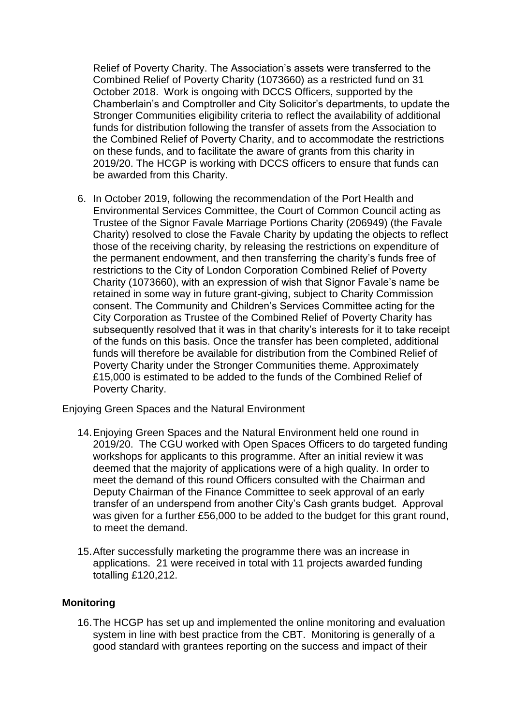Relief of Poverty Charity. The Association's assets were transferred to the Combined Relief of Poverty Charity (1073660) as a restricted fund on 31 October 2018. Work is ongoing with DCCS Officers, supported by the Chamberlain's and Comptroller and City Solicitor's departments, to update the Stronger Communities eligibility criteria to reflect the availability of additional funds for distribution following the transfer of assets from the Association to the Combined Relief of Poverty Charity, and to accommodate the restrictions on these funds, and to facilitate the aware of grants from this charity in 2019/20. The HCGP is working with DCCS officers to ensure that funds can be awarded from this Charity.

6. In October 2019, following the recommendation of the Port Health and Environmental Services Committee, the Court of Common Council acting as Trustee of the Signor Favale Marriage Portions Charity (206949) (the Favale Charity) resolved to close the Favale Charity by updating the objects to reflect those of the receiving charity, by releasing the restrictions on expenditure of the permanent endowment, and then transferring the charity's funds free of restrictions to the City of London Corporation Combined Relief of Poverty Charity (1073660), with an expression of wish that Signor Favale's name be retained in some way in future grant-giving, subject to Charity Commission consent. The Community and Children's Services Committee acting for the City Corporation as Trustee of the Combined Relief of Poverty Charity has subsequently resolved that it was in that charity's interests for it to take receipt of the funds on this basis. Once the transfer has been completed, additional funds will therefore be available for distribution from the Combined Relief of Poverty Charity under the Stronger Communities theme. Approximately £15,000 is estimated to be added to the funds of the Combined Relief of Poverty Charity.

#### Enjoying Green Spaces and the Natural Environment

- 14.Enjoying Green Spaces and the Natural Environment held one round in 2019/20. The CGU worked with Open Spaces Officers to do targeted funding workshops for applicants to this programme. After an initial review it was deemed that the majority of applications were of a high quality. In order to meet the demand of this round Officers consulted with the Chairman and Deputy Chairman of the Finance Committee to seek approval of an early transfer of an underspend from another City's Cash grants budget. Approval was given for a further £56,000 to be added to the budget for this grant round, to meet the demand.
- 15.After successfully marketing the programme there was an increase in applications. 21 were received in total with 11 projects awarded funding totalling £120,212.

#### **Monitoring**

16.The HCGP has set up and implemented the online monitoring and evaluation system in line with best practice from the CBT. Monitoring is generally of a good standard with grantees reporting on the success and impact of their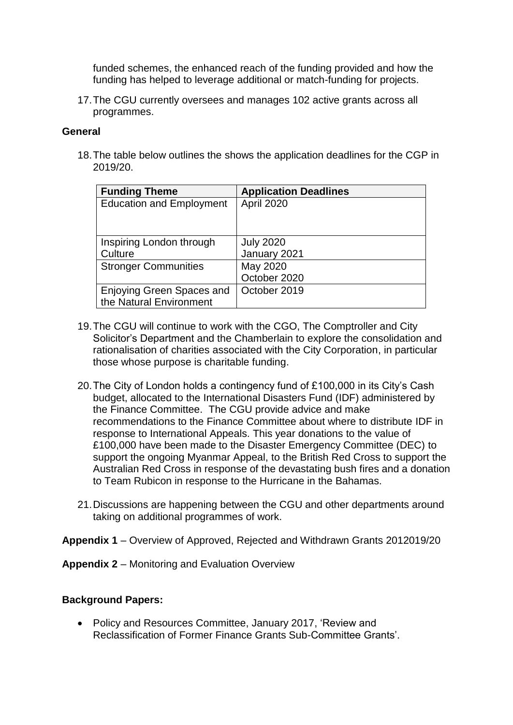funded schemes, the enhanced reach of the funding provided and how the funding has helped to leverage additional or match-funding for projects.

17.The CGU currently oversees and manages 102 active grants across all programmes.

## **General**

18.The table below outlines the shows the application deadlines for the CGP in 2019/20.

| <b>Funding Theme</b>            | <b>Application Deadlines</b> |
|---------------------------------|------------------------------|
| <b>Education and Employment</b> | April 2020                   |
|                                 |                              |
|                                 |                              |
| Inspiring London through        | <b>July 2020</b>             |
| Culture                         | January 2021                 |
| <b>Stronger Communities</b>     | May 2020                     |
|                                 | October 2020                 |
| Enjoying Green Spaces and       | October 2019                 |
| the Natural Environment         |                              |

- 19.The CGU will continue to work with the CGO, The Comptroller and City Solicitor's Department and the Chamberlain to explore the consolidation and rationalisation of charities associated with the City Corporation, in particular those whose purpose is charitable funding.
- 20.The City of London holds a contingency fund of £100,000 in its City's Cash budget, allocated to the International Disasters Fund (IDF) administered by the Finance Committee. The CGU provide advice and make recommendations to the Finance Committee about where to distribute IDF in response to International Appeals. This year donations to the value of £100,000 have been made to the Disaster Emergency Committee (DEC) to support the ongoing Myanmar Appeal, to the British Red Cross to support the Australian Red Cross in response of the devastating bush fires and a donation to Team Rubicon in response to the Hurricane in the Bahamas.
- 21.Discussions are happening between the CGU and other departments around taking on additional programmes of work.

**Appendix 1** – Overview of Approved, Rejected and Withdrawn Grants 2012019/20

**Appendix 2** – Monitoring and Evaluation Overview

# **Background Papers:**

• Policy and Resources Committee, January 2017, 'Review and Reclassification of Former Finance Grants Sub-Committee Grants'.